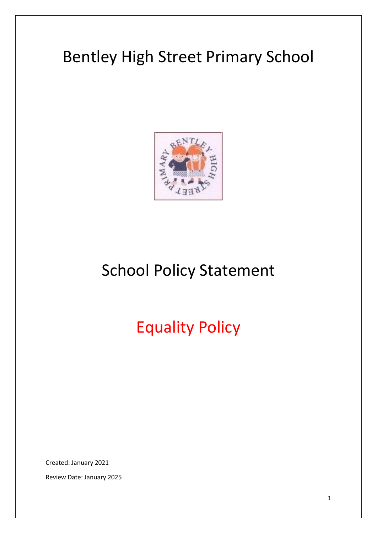# Bentley High Street Primary School



# School Policy Statement

Equality Policy

Created: January 2021

Review Date: January 2025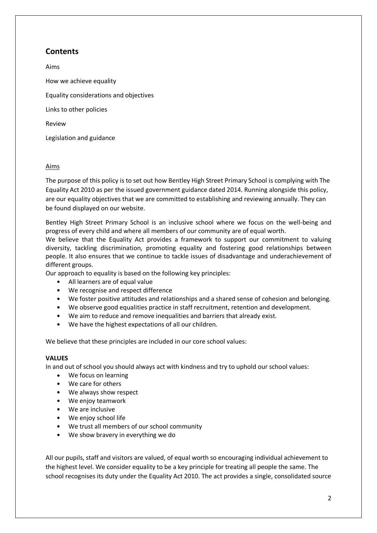# **Contents**

Aims How we achieve equality Equality considerations and objectives Links to other policies Review Legislation and guidance

# Aims

The purpose of this policy is to set out how Bentley High Street Primary School is complying with The Equality Act 2010 as per the issued government guidance dated 2014. Running alongside this policy, are our equality objectives that we are committed to establishing and reviewing annually. They can be found displayed on our website.

Bentley High Street Primary School is an inclusive school where we focus on the well-being and progress of every child and where all members of our community are of equal worth.

We believe that the Equality Act provides a framework to support our commitment to valuing diversity, tackling discrimination, promoting equality and fostering good relationships between people. It also ensures that we continue to tackle issues of disadvantage and underachievement of different groups.

Our approach to equality is based on the following key principles:

- All learners are of equal value
- We recognise and respect difference
- We foster positive attitudes and relationships and a shared sense of cohesion and belonging.
- We observe good equalities practice in staff recruitment, retention and development.
- We aim to reduce and remove inequalities and barriers that already exist.
- We have the highest expectations of all our children.

We believe that these principles are included in our core school values:

#### **VALUES**

In and out of school you should always act with kindness and try to uphold our school values:

- We focus on learning
- We care for others
- We always show respect
- We enjoy teamwork
- We are inclusive
- We enjoy school life
- We trust all members of our school community
- We show bravery in everything we do

All our pupils, staff and visitors are valued, of equal worth so encouraging individual achievement to the highest level. We consider equality to be a key principle for treating all people the same. The school recognises its duty under the Equality Act 2010. The act provides a single, consolidated source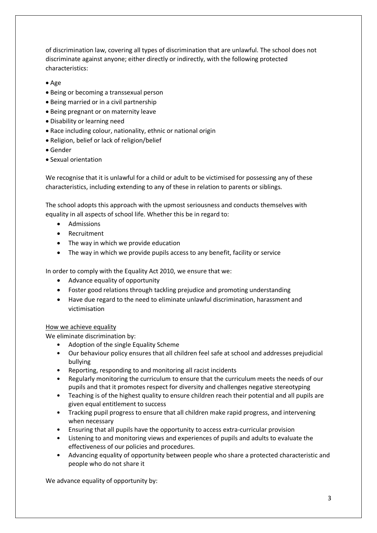of discrimination law, covering all types of discrimination that are unlawful. The school does not discriminate against anyone; either directly or indirectly, with the following protected characteristics:

- Age
- Being or becoming a transsexual person
- Being married or in a civil partnership
- Being pregnant or on maternity leave
- Disability or learning need
- Race including colour, nationality, ethnic or national origin
- Religion, belief or lack of religion/belief
- Gender
- Sexual orientation

We recognise that it is unlawful for a child or adult to be victimised for possessing any of these characteristics, including extending to any of these in relation to parents or siblings.

The school adopts this approach with the upmost seriousness and conducts themselves with equality in all aspects of school life. Whether this be in regard to:

- Admissions
- Recruitment
- The way in which we provide education
- The way in which we provide pupils access to any benefit, facility or service

In order to comply with the Equality Act 2010, we ensure that we:

- Advance equality of opportunity
- Foster good relations through tackling prejudice and promoting understanding
- Have due regard to the need to eliminate unlawful discrimination, harassment and victimisation

## How we achieve equality

We eliminate discrimination by:

- Adoption of the single Equality Scheme
- Our behaviour policy ensures that all children feel safe at school and addresses prejudicial bullying
- Reporting, responding to and monitoring all racist incidents
- Regularly monitoring the curriculum to ensure that the curriculum meets the needs of our pupils and that it promotes respect for diversity and challenges negative stereotyping
- Teaching is of the highest quality to ensure children reach their potential and all pupils are given equal entitlement to success
- Tracking pupil progress to ensure that all children make rapid progress, and intervening when necessary
- Ensuring that all pupils have the opportunity to access extra-curricular provision
- Listening to and monitoring views and experiences of pupils and adults to evaluate the effectiveness of our policies and procedures.
- Advancing equality of opportunity between people who share a protected characteristic and people who do not share it

We advance equality of opportunity by: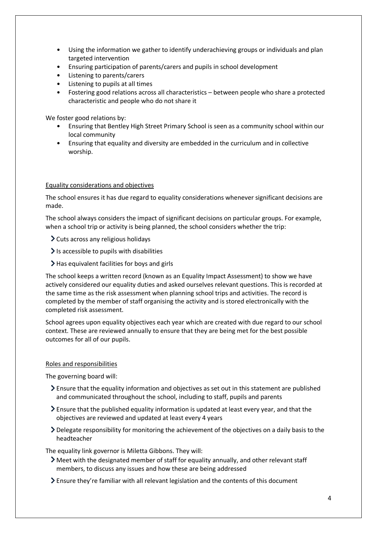- Using the information we gather to identify underachieving groups or individuals and plan targeted intervention
- Ensuring participation of parents/carers and pupils in school development
- Listening to parents/carers
- Listening to pupils at all times
- Fostering good relations across all characteristics between people who share a protected characteristic and people who do not share it

We foster good relations by:

- Ensuring that Bentley High Street Primary School is seen as a community school within our local community
- Ensuring that equality and diversity are embedded in the curriculum and in collective worship.

#### Equality considerations and objectives

The school ensures it has due regard to equality considerations whenever significant decisions are made.

The school always considers the impact of significant decisions on particular groups. For example, when a school trip or activity is being planned, the school considers whether the trip:

- Cuts across any religious holidays
- $\sum$  is accessible to pupils with disabilities
- $\blacktriangleright$  Has equivalent facilities for boys and girls

The school keeps a written record (known as an Equality Impact Assessment) to show we have actively considered our equality duties and asked ourselves relevant questions. This is recorded at the same time as the risk assessment when planning school trips and activities. The record is completed by the member of staff organising the activity and is stored electronically with the completed risk assessment.

School agrees upon equality objectives each year which are created with due regard to our school context. These are reviewed annually to ensure that they are being met for the best possible outcomes for all of our pupils.

#### Roles and responsibilities

The governing board will:

- Ensure that the equality information and objectives as set out in this statement are published and communicated throughout the school, including to staff, pupils and parents
- Ensure that the published equality information is updated at least every year, and that the objectives are reviewed and updated at least every 4 years
- Delegate responsibility for monitoring the achievement of the objectives on a daily basis to the headteacher

The equality link governor is Miletta Gibbons. They will:

- Meet with the designated member of staff for equality annually, and other relevant staff members, to discuss any issues and how these are being addressed
- Ensure they're familiar with all relevant legislation and the contents of this document